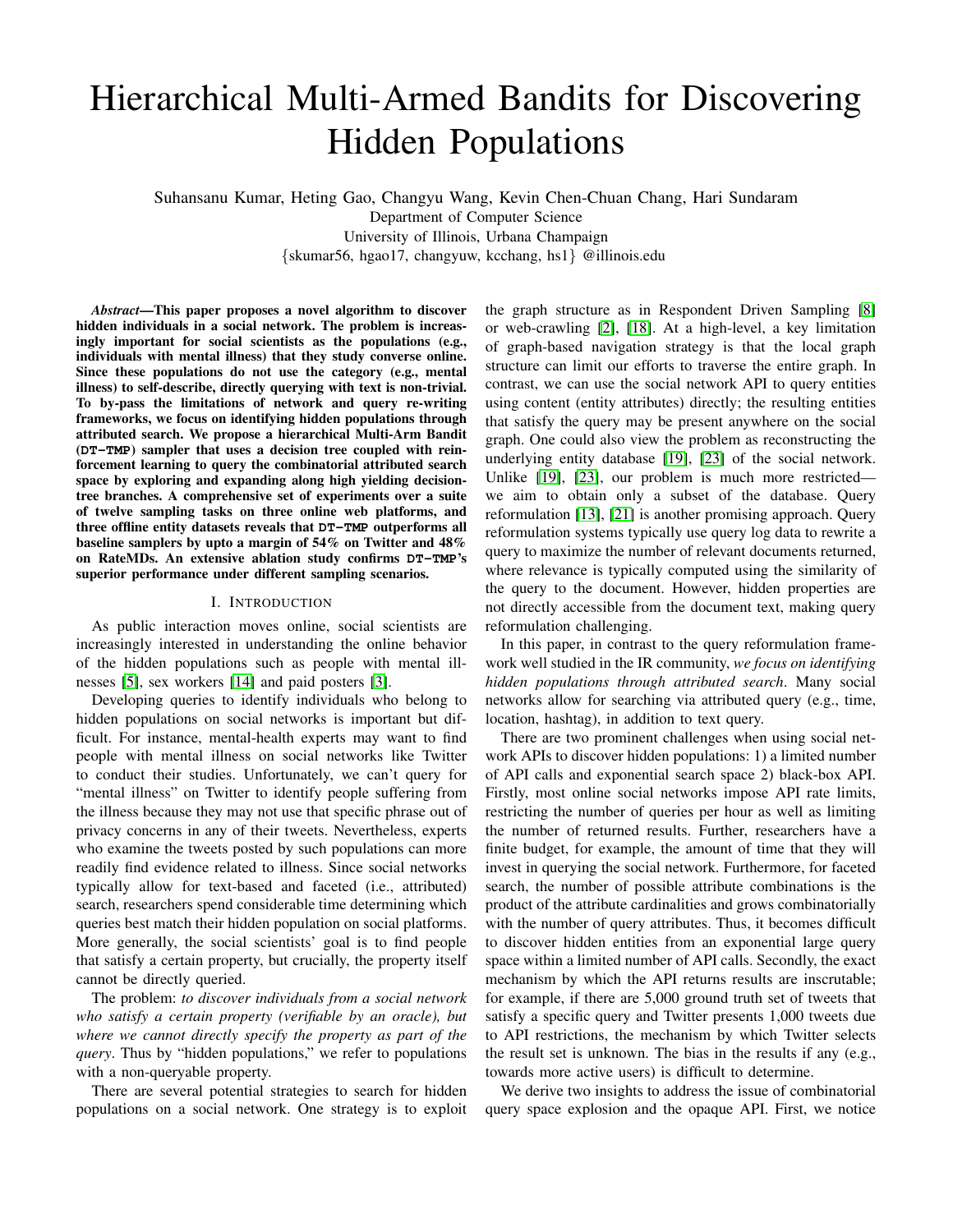# Hierarchical Multi-Armed Bandits for Discovering Hidden Populations

Suhansanu Kumar, Heting Gao, Changyu Wang, Kevin Chen-Chuan Chang, Hari Sundaram Department of Computer Science University of Illinois, Urbana Champaign {skumar56, hgao17, changyuw, kcchang, hs1} @illinois.edu

*Abstract*—This paper proposes a novel algorithm to discover hidden individuals in a social network. The problem is increasingly important for social scientists as the populations (e.g., individuals with mental illness) that they study converse online. Since these populations do not use the category (e.g., mental illness) to self-describe, directly querying with text is non-trivial. To by-pass the limitations of network and query re-writing frameworks, we focus on identifying hidden populations through attributed search. We propose a hierarchical Multi-Arm Bandit (**DT-TMP**) sampler that uses a decision tree coupled with reinforcement learning to query the combinatorial attributed search space by exploring and expanding along high yielding decisiontree branches. A comprehensive set of experiments over a suite of twelve sampling tasks on three online web platforms, and three offline entity datasets reveals that **DT-TMP** outperforms all baseline samplers by upto a margin of 54% on Twitter and 48% on RateMDs. An extensive ablation study confirms **DT-TMP**'s superior performance under different sampling scenarios.

#### I. INTRODUCTION

As public interaction moves online, social scientists are increasingly interested in understanding the online behavior of the hidden populations such as people with mental illnesses [\[5\]](#page-7-0), sex workers [\[14\]](#page-7-1) and paid posters [\[3\]](#page-7-2).

Developing queries to identify individuals who belong to hidden populations on social networks is important but difficult. For instance, mental-health experts may want to find people with mental illness on social networks like Twitter to conduct their studies. Unfortunately, we can't query for "mental illness" on Twitter to identify people suffering from the illness because they may not use that specific phrase out of privacy concerns in any of their tweets. Nevertheless, experts who examine the tweets posted by such populations can more readily find evidence related to illness. Since social networks typically allow for text-based and faceted (i.e., attributed) search, researchers spend considerable time determining which queries best match their hidden population on social platforms. More generally, the social scientists' goal is to find people that satisfy a certain property, but crucially, the property itself cannot be directly queried.

The problem: *to discover individuals from a social network who satisfy a certain property (verifiable by an oracle), but where we cannot directly specify the property as part of the query*. Thus by "hidden populations," we refer to populations with a non-queryable property.

There are several potential strategies to search for hidden populations on a social network. One strategy is to exploit the graph structure as in Respondent Driven Sampling [\[8\]](#page-7-3) or web-crawling [\[2\]](#page-7-4), [\[18\]](#page-7-5). At a high-level, a key limitation of graph-based navigation strategy is that the local graph structure can limit our efforts to traverse the entire graph. In contrast, we can use the social network API to query entities using content (entity attributes) directly; the resulting entities that satisfy the query may be present anywhere on the social graph. One could also view the problem as reconstructing the underlying entity database [\[19\]](#page-7-6), [\[23\]](#page-7-7) of the social network. Unlike [\[19\]](#page-7-6), [\[23\]](#page-7-7), our problem is much more restricted we aim to obtain only a subset of the database. Query reformulation [\[13\]](#page-7-8), [\[21\]](#page-7-9) is another promising approach. Query reformulation systems typically use query log data to rewrite a query to maximize the number of relevant documents returned, where relevance is typically computed using the similarity of the query to the document. However, hidden properties are not directly accessible from the document text, making query reformulation challenging.

In this paper, in contrast to the query reformulation framework well studied in the IR community, *we focus on identifying hidden populations through attributed search*. Many social networks allow for searching via attributed query (e.g., time, location, hashtag), in addition to text query.

There are two prominent challenges when using social network APIs to discover hidden populations: 1) a limited number of API calls and exponential search space 2) black-box API. Firstly, most online social networks impose API rate limits, restricting the number of queries per hour as well as limiting the number of returned results. Further, researchers have a finite budget, for example, the amount of time that they will invest in querying the social network. Furthermore, for faceted search, the number of possible attribute combinations is the product of the attribute cardinalities and grows combinatorially with the number of query attributes. Thus, it becomes difficult to discover hidden entities from an exponential large query space within a limited number of API calls. Secondly, the exact mechanism by which the API returns results are inscrutable; for example, if there are 5,000 ground truth set of tweets that satisfy a specific query and Twitter presents 1,000 tweets due to API restrictions, the mechanism by which Twitter selects the result set is unknown. The bias in the results if any (e.g., towards more active users) is difficult to determine.

We derive two insights to address the issue of combinatorial query space explosion and the opaque API. First, we notice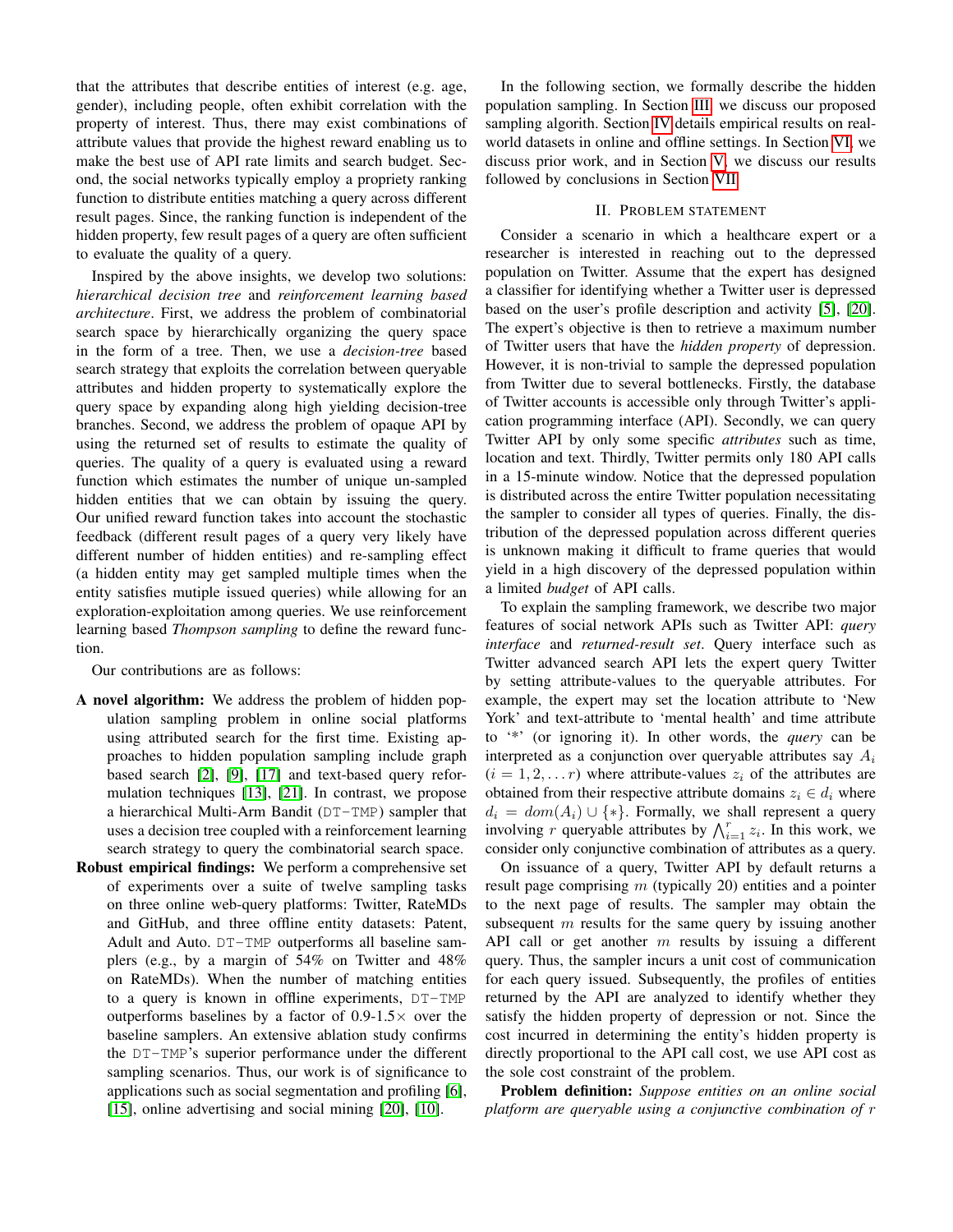that the attributes that describe entities of interest (e.g. age, gender), including people, often exhibit correlation with the property of interest. Thus, there may exist combinations of attribute values that provide the highest reward enabling us to make the best use of API rate limits and search budget. Second, the social networks typically employ a propriety ranking function to distribute entities matching a query across different result pages. Since, the ranking function is independent of the hidden property, few result pages of a query are often sufficient to evaluate the quality of a query.

Inspired by the above insights, we develop two solutions: *hierarchical decision tree* and *reinforcement learning based architecture*. First, we address the problem of combinatorial search space by hierarchically organizing the query space in the form of a tree. Then, we use a *decision-tree* based search strategy that exploits the correlation between queryable attributes and hidden property to systematically explore the query space by expanding along high yielding decision-tree branches. Second, we address the problem of opaque API by using the returned set of results to estimate the quality of queries. The quality of a query is evaluated using a reward function which estimates the number of unique un-sampled hidden entities that we can obtain by issuing the query. Our unified reward function takes into account the stochastic feedback (different result pages of a query very likely have different number of hidden entities) and re-sampling effect (a hidden entity may get sampled multiple times when the entity satisfies mutiple issued queries) while allowing for an exploration-exploitation among queries. We use reinforcement learning based *Thompson sampling* to define the reward function.

Our contributions are as follows:

- A novel algorithm: We address the problem of hidden population sampling problem in online social platforms using attributed search for the first time. Existing approaches to hidden population sampling include graph based search [\[2\]](#page-7-4), [\[9\]](#page-7-10), [\[17\]](#page-7-11) and text-based query reformulation techniques [\[13\]](#page-7-8), [\[21\]](#page-7-9). In contrast, we propose a hierarchical Multi-Arm Bandit (DT-TMP) sampler that uses a decision tree coupled with a reinforcement learning search strategy to query the combinatorial search space.
- Robust empirical findings: We perform a comprehensive set of experiments over a suite of twelve sampling tasks on three online web-query platforms: Twitter, RateMDs and GitHub, and three offline entity datasets: Patent, Adult and Auto. DT-TMP outperforms all baseline samplers (e.g., by a margin of 54% on Twitter and 48% on RateMDs). When the number of matching entities to a query is known in offline experiments, DT-TMP outperforms baselines by a factor of  $0.9-1.5\times$  over the baseline samplers. An extensive ablation study confirms the DT-TMP's superior performance under the different sampling scenarios. Thus, our work is of significance to applications such as social segmentation and profiling [\[6\]](#page-7-12), [\[15\]](#page-7-13), online advertising and social mining [\[20\]](#page-7-14), [\[10\]](#page-7-15).

In the following section, we formally describe the hidden population sampling. In Section [III,](#page-2-0) we discuss our proposed sampling algorith. Section [IV](#page-4-0) details empirical results on realworld datasets in online and offline settings. In Section [VI,](#page-7-16) we discuss prior work, and in Section [V,](#page-6-0) we discuss our results followed by conclusions in Section [VII.](#page-7-17)

# II. PROBLEM STATEMENT

<span id="page-1-0"></span>Consider a scenario in which a healthcare expert or a researcher is interested in reaching out to the depressed population on Twitter. Assume that the expert has designed a classifier for identifying whether a Twitter user is depressed based on the user's profile description and activity [\[5\]](#page-7-0), [\[20\]](#page-7-14). The expert's objective is then to retrieve a maximum number of Twitter users that have the *hidden property* of depression. However, it is non-trivial to sample the depressed population from Twitter due to several bottlenecks. Firstly, the database of Twitter accounts is accessible only through Twitter's application programming interface (API). Secondly, we can query Twitter API by only some specific *attributes* such as time, location and text. Thirdly, Twitter permits only 180 API calls in a 15-minute window. Notice that the depressed population is distributed across the entire Twitter population necessitating the sampler to consider all types of queries. Finally, the distribution of the depressed population across different queries is unknown making it difficult to frame queries that would yield in a high discovery of the depressed population within a limited *budget* of API calls.

To explain the sampling framework, we describe two major features of social network APIs such as Twitter API: *query interface* and *returned-result set*. Query interface such as Twitter advanced search API lets the expert query Twitter by setting attribute-values to the queryable attributes. For example, the expert may set the location attribute to 'New York' and text-attribute to 'mental health' and time attribute to '\*' (or ignoring it). In other words, the *query* can be interpreted as a conjunction over queryable attributes say  $A_i$  $(i = 1, 2, \dots r)$  where attribute-values  $z_i$  of the attributes are obtained from their respective attribute domains  $z_i \in d_i$  where  $d_i = dom(A_i) \cup \{*\}.$  Formally, we shall represent a query involving r queryable attributes by  $\bigwedge_{i=1}^r z_i$ . In this work, we consider only conjunctive combination of attributes as a query.

On issuance of a query, Twitter API by default returns a result page comprising  $m$  (typically 20) entities and a pointer to the next page of results. The sampler may obtain the subsequent m results for the same query by issuing another API call or get another  $m$  results by issuing a different query. Thus, the sampler incurs a unit cost of communication for each query issued. Subsequently, the profiles of entities returned by the API are analyzed to identify whether they satisfy the hidden property of depression or not. Since the cost incurred in determining the entity's hidden property is directly proportional to the API call cost, we use API cost as the sole cost constraint of the problem.

Problem definition: *Suppose entities on an online social platform are queryable using a conjunctive combination of* r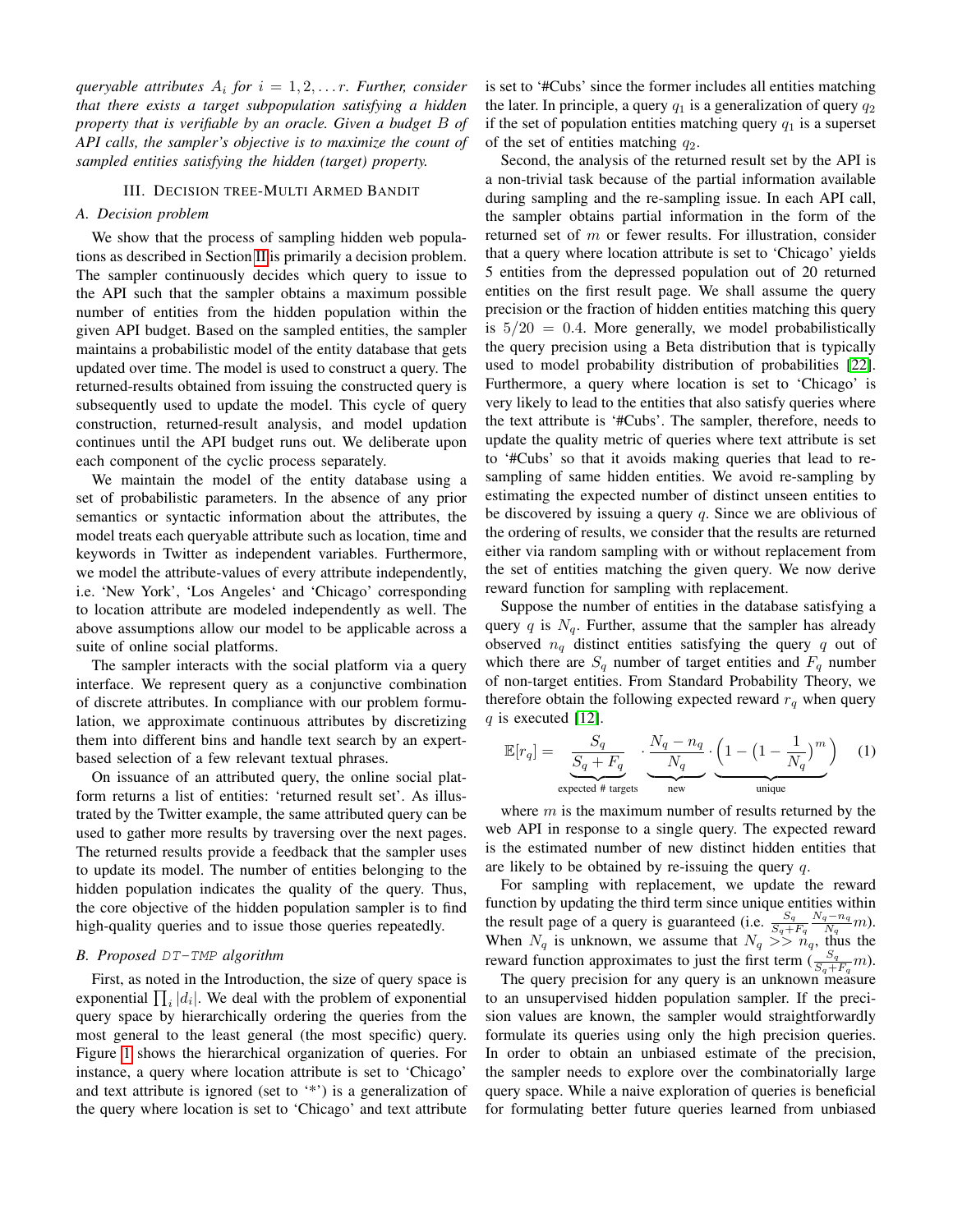*queryable attributes* A<sup>i</sup> *for* i = 1, 2, . . . r*. Further, consider that there exists a target subpopulation satisfying a hidden property that is verifiable by an oracle. Given a budget* B *of API calls, the sampler's objective is to maximize the count of sampled entities satisfying the hidden (target) property.*

#### III. DECISION TREE-MULTI ARMED BANDIT

# <span id="page-2-1"></span><span id="page-2-0"></span>*A. Decision problem*

We show that the process of sampling hidden web populations as described in Section [II](#page-1-0) is primarily a decision problem. The sampler continuously decides which query to issue to the API such that the sampler obtains a maximum possible number of entities from the hidden population within the given API budget. Based on the sampled entities, the sampler maintains a probabilistic model of the entity database that gets updated over time. The model is used to construct a query. The returned-results obtained from issuing the constructed query is subsequently used to update the model. This cycle of query construction, returned-result analysis, and model updation continues until the API budget runs out. We deliberate upon each component of the cyclic process separately.

We maintain the model of the entity database using a set of probabilistic parameters. In the absence of any prior semantics or syntactic information about the attributes, the model treats each queryable attribute such as location, time and keywords in Twitter as independent variables. Furthermore, we model the attribute-values of every attribute independently, i.e. 'New York', 'Los Angeles' and 'Chicago' corresponding to location attribute are modeled independently as well. The above assumptions allow our model to be applicable across a suite of online social platforms.

The sampler interacts with the social platform via a query interface. We represent query as a conjunctive combination of discrete attributes. In compliance with our problem formulation, we approximate continuous attributes by discretizing them into different bins and handle text search by an expertbased selection of a few relevant textual phrases.

On issuance of an attributed query, the online social platform returns a list of entities: 'returned result set'. As illustrated by the Twitter example, the same attributed query can be used to gather more results by traversing over the next pages. The returned results provide a feedback that the sampler uses to update its model. The number of entities belonging to the hidden population indicates the quality of the query. Thus, the core objective of the hidden population sampler is to find high-quality queries and to issue those queries repeatedly.

#### <span id="page-2-2"></span>*B. Proposed* DT-TMP *algorithm*

First, as noted in the Introduction, the size of query space is exponential  $\prod_i |d_i|$ . We deal with the problem of exponential query space by hierarchically ordering the queries from the most general to the least general (the most specific) query. Figure [1](#page-3-0) shows the hierarchical organization of queries. For instance, a query where location attribute is set to 'Chicago' and text attribute is ignored (set to '\*') is a generalization of the query where location is set to 'Chicago' and text attribute is set to '#Cubs' since the former includes all entities matching the later. In principle, a query  $q_1$  is a generalization of query  $q_2$ if the set of population entities matching query  $q_1$  is a superset of the set of entities matching  $q_2$ .

Second, the analysis of the returned result set by the API is a non-trivial task because of the partial information available during sampling and the re-sampling issue. In each API call, the sampler obtains partial information in the form of the returned set of m or fewer results. For illustration, consider that a query where location attribute is set to 'Chicago' yields 5 entities from the depressed population out of 20 returned entities on the first result page. We shall assume the query precision or the fraction of hidden entities matching this query is  $5/20 = 0.4$ . More generally, we model probabilistically the query precision using a Beta distribution that is typically used to model probability distribution of probabilities [\[22\]](#page-7-18). Furthermore, a query where location is set to 'Chicago' is very likely to lead to the entities that also satisfy queries where the text attribute is '#Cubs'. The sampler, therefore, needs to update the quality metric of queries where text attribute is set to '#Cubs' so that it avoids making queries that lead to resampling of same hidden entities. We avoid re-sampling by estimating the expected number of distinct unseen entities to be discovered by issuing a query  $q$ . Since we are oblivious of the ordering of results, we consider that the results are returned either via random sampling with or without replacement from the set of entities matching the given query. We now derive reward function for sampling with replacement.

Suppose the number of entities in the database satisfying a query q is  $N_q$ . Further, assume that the sampler has already observed  $n_q$  distinct entities satisfying the query q out of which there are  $S_q$  number of target entities and  $F_q$  number of non-target entities. From Standard Probability Theory, we therefore obtain the following expected reward  $r_q$  when query  $q$  is executed [\[12\]](#page-7-19).

$$
\mathbb{E}[r_q] = \underbrace{\frac{S_q}{S_q + F_q}}_{\text{expected # targets}} \cdot \underbrace{\frac{N_q - n_q}{N_q}}_{\text{new}} \cdot \underbrace{\left(1 - \left(1 - \frac{1}{N_q}\right)^m\right)}_{\text{unique}} \quad (1)
$$

where  $m$  is the maximum number of results returned by the web API in response to a single query. The expected reward is the estimated number of new distinct hidden entities that are likely to be obtained by re-issuing the query  $q$ .

For sampling with replacement, we update the reward function by updating the third term since unique entities within the result page of a query is guaranteed (i.e.  $\frac{S_q}{S_q + F_q}$  $N_q-n_q$  $\frac{q-n_q}{N_q}$ m). When  $N_q$  is unknown, we assume that  $N_q \gg \frac{N_q}{n_q}$ , thus the reward function approximates to just the first term  $\left(\frac{S_q}{S_q + F_q}m\right)$ .

The query precision for any query is an unknown measure to an unsupervised hidden population sampler. If the precision values are known, the sampler would straightforwardly formulate its queries using only the high precision queries. In order to obtain an unbiased estimate of the precision, the sampler needs to explore over the combinatorially large query space. While a naive exploration of queries is beneficial for formulating better future queries learned from unbiased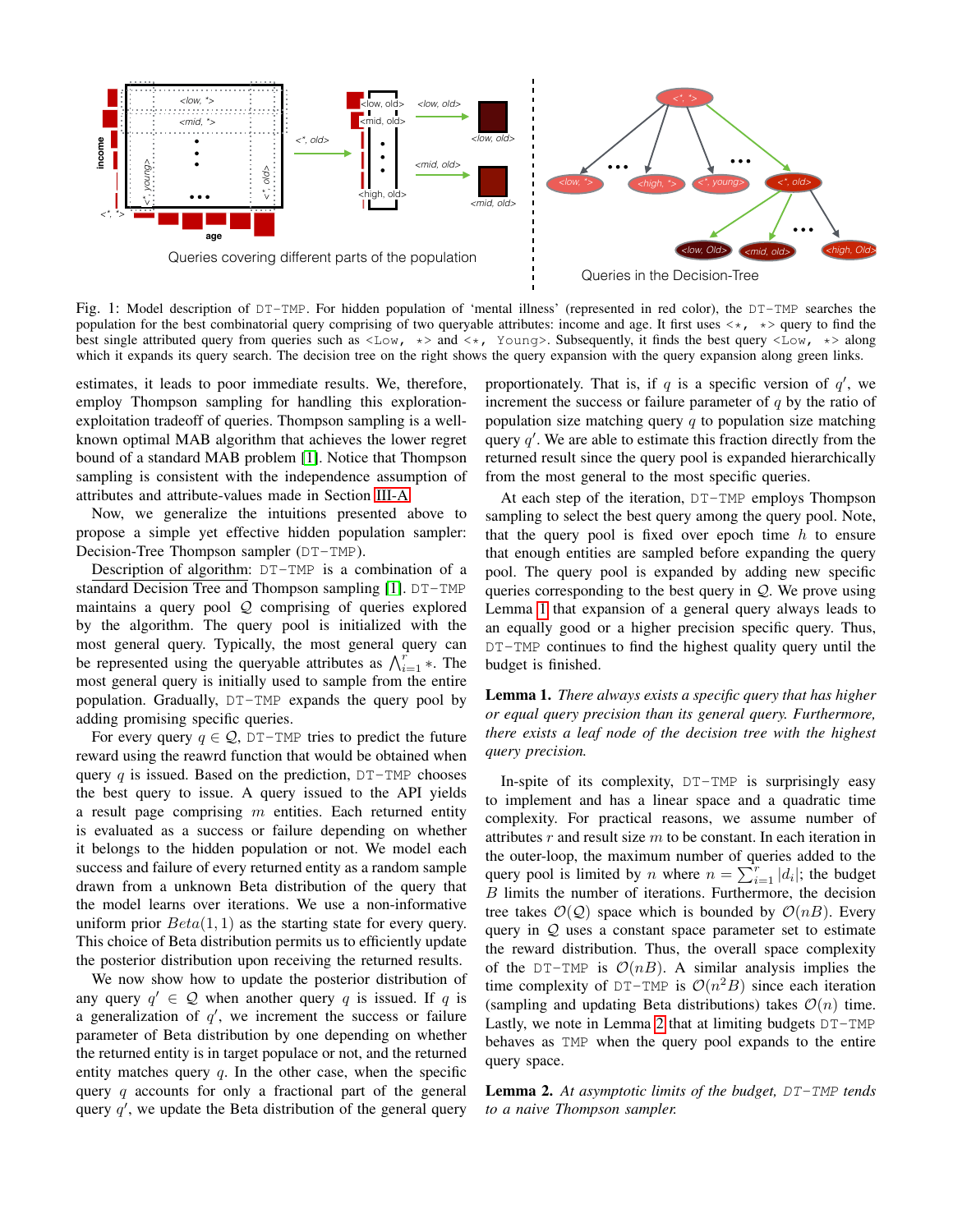<span id="page-3-0"></span>

Fig. 1: Model description of DT-TMP. For hidden population of 'mental illness' (represented in red color), the DT-TMP searches the population for the best combinatorial query comprising of two queryable attributes: income and age. It first uses  $\langle \star, \star \rangle$  query to find the best single attributed query from queries such as  $\langle Low, * \rangle$  and  $\langle *,$  Young>. Subsequently, it finds the best query  $\langle Low, * \rangle$  along which it expands its query search. The decision tree on the right shows the query expansion with the query expansion along green links.

estimates, it leads to poor immediate results. We, therefore, employ Thompson sampling for handling this explorationexploitation tradeoff of queries. Thompson sampling is a wellknown optimal MAB algorithm that achieves the lower regret bound of a standard MAB problem [\[1\]](#page-7-20). Notice that Thompson sampling is consistent with the independence assumption of attributes and attribute-values made in Section [III-A.](#page-2-1)

Now, we generalize the intuitions presented above to propose a simple yet effective hidden population sampler: Decision-Tree Thompson sampler (DT-TMP).

Description of algorithm: DT-TMP is a combination of a standard Decision Tree and Thompson sampling [\[1\]](#page-7-20). DT-TMP maintains a query pool  $Q$  comprising of queries explored by the algorithm. The query pool is initialized with the most general query. Typically, the most general query can be represented using the queryable attributes as  $\bigwedge_{i=1}^r$  \*. The most general query is initially used to sample from the entire population. Gradually, DT-TMP expands the query pool by adding promising specific queries.

For every query  $q \in \mathcal{Q}$ , DT-TMP tries to predict the future reward using the reawrd function that would be obtained when query q is issued. Based on the prediction,  $DT-TMP$  chooses the best query to issue. A query issued to the API yields a result page comprising  $m$  entities. Each returned entity is evaluated as a success or failure depending on whether it belongs to the hidden population or not. We model each success and failure of every returned entity as a random sample drawn from a unknown Beta distribution of the query that the model learns over iterations. We use a non-informative uniform prior  $Beta(1, 1)$  as the starting state for every query. This choice of Beta distribution permits us to efficiently update the posterior distribution upon receiving the returned results.

We now show how to update the posterior distribution of any query  $q' \in \mathcal{Q}$  when another query q is issued. If q is a generalization of  $q'$ , we increment the success or failure parameter of Beta distribution by one depending on whether the returned entity is in target populace or not, and the returned entity matches query  $q$ . In the other case, when the specific query  $q$  accounts for only a fractional part of the general query  $q'$ , we update the Beta distribution of the general query

proportionately. That is, if q is a specific version of  $q'$ , we increment the success or failure parameter of  $q$  by the ratio of population size matching query  $q$  to population size matching query  $q'$ . We are able to estimate this fraction directly from the returned result since the query pool is expanded hierarchically from the most general to the most specific queries.

At each step of the iteration, DT-TMP employs Thompson sampling to select the best query among the query pool. Note, that the query pool is fixed over epoch time  $h$  to ensure that enough entities are sampled before expanding the query pool. The query pool is expanded by adding new specific queries corresponding to the best query in  $Q$ . We prove using Lemma [1](#page-3-1) that expansion of a general query always leads to an equally good or a higher precision specific query. Thus, DT-TMP continues to find the highest quality query until the budget is finished.

<span id="page-3-1"></span>Lemma 1. *There always exists a specific query that has higher or equal query precision than its general query. Furthermore, there exists a leaf node of the decision tree with the highest query precision.*

In-spite of its complexity, DT-TMP is surprisingly easy to implement and has a linear space and a quadratic time complexity. For practical reasons, we assume number of attributes  $r$  and result size  $m$  to be constant. In each iteration in the outer-loop, the maximum number of queries added to the query pool is limited by *n* where  $n = \sum_{i=1}^{r} |d_i|$ ; the budget B limits the number of iterations. Furthermore, the decision tree takes  $\mathcal{O}(\mathcal{Q})$  space which is bounded by  $\mathcal{O}(nB)$ . Every query in  $Q$  uses a constant space parameter set to estimate the reward distribution. Thus, the overall space complexity of the DT-TMP is  $O(nB)$ . A similar analysis implies the time complexity of DT-TMP is  $\mathcal{O}(n^2B)$  since each iteration (sampling and updating Beta distributions) takes  $\mathcal{O}(n)$  time. Lastly, we note in Lemma [2](#page-3-2) that at limiting budgets DT-TMP behaves as TMP when the query pool expands to the entire query space.

<span id="page-3-2"></span>Lemma 2. *At asymptotic limits of the budget,* DT-TMP *tends to a naive Thompson sampler.*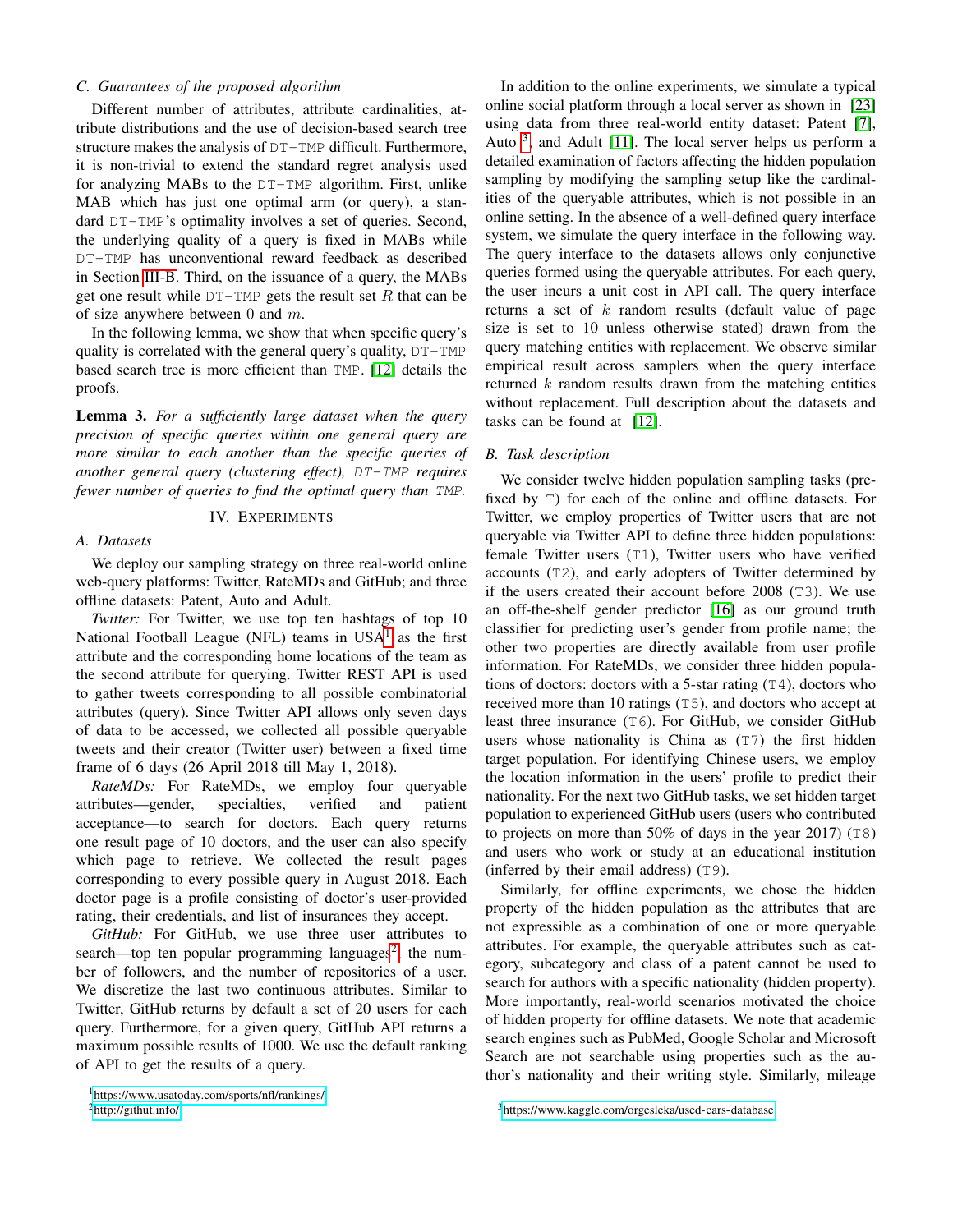# *C. Guarantees of the proposed algorithm*

Different number of attributes, attribute cardinalities, attribute distributions and the use of decision-based search tree structure makes the analysis of DT-TMP difficult. Furthermore, it is non-trivial to extend the standard regret analysis used for analyzing MABs to the DT-TMP algorithm. First, unlike MAB which has just one optimal arm (or query), a standard DT-TMP's optimality involves a set of queries. Second, the underlying quality of a query is fixed in MABs while DT-TMP has unconventional reward feedback as described in Section [III-B.](#page-2-2) Third, on the issuance of a query, the MABs get one result while  $DT-TMP$  gets the result set R that can be of size anywhere between 0 and  $m$ .

In the following lemma, we show that when specific query's quality is correlated with the general query's quality, DT-TMP based search tree is more efficient than TMP. [\[12\]](#page-7-19) details the proofs.

Lemma 3. *For a sufficiently large dataset when the query precision of specific queries within one general query are more similar to each another than the specific queries of another general query (clustering effect),* DT-TMP *requires fewer number of queries to find the optimal query than* TMP*.*

## IV. EXPERIMENTS

### <span id="page-4-0"></span>*A. Datasets*

We deploy our sampling strategy on three real-world online web-query platforms: Twitter, RateMDs and GitHub; and three offline datasets: Patent, Auto and Adult.

*Twitter:* For Twitter, we use top ten hashtags of top 10 National Football League (NFL) teams in  $USA<sup>1</sup>$  $USA<sup>1</sup>$  $USA<sup>1</sup>$  as the first attribute and the corresponding home locations of the team as the second attribute for querying. Twitter REST API is used to gather tweets corresponding to all possible combinatorial attributes (query). Since Twitter API allows only seven days of data to be accessed, we collected all possible queryable tweets and their creator (Twitter user) between a fixed time frame of 6 days (26 April 2018 till May 1, 2018).

*RateMDs:* For RateMDs, we employ four queryable attributes—gender, specialties, verified and patient acceptance—to search for doctors. Each query returns one result page of 10 doctors, and the user can also specify which page to retrieve. We collected the result pages corresponding to every possible query in August 2018. Each doctor page is a profile consisting of doctor's user-provided rating, their credentials, and list of insurances they accept.

*GitHub:* For GitHub, we use three user attributes to search—top ten popular programming languages<sup>[2](#page-4-2)</sup>, the number of followers, and the number of repositories of a user. We discretize the last two continuous attributes. Similar to Twitter, GitHub returns by default a set of 20 users for each query. Furthermore, for a given query, GitHub API returns a maximum possible results of 1000. We use the default ranking of API to get the results of a query.

<span id="page-4-2"></span> ${}^{2}$ <http://githut.info/>

In addition to the online experiments, we simulate a typical online social platform through a local server as shown in [\[23\]](#page-7-7) using data from three real-world entity dataset: Patent [\[7\]](#page-7-21), Auto<sup>[3](#page-4-3)</sup>, and Adult [\[11\]](#page-7-22). The local server helps us perform a detailed examination of factors affecting the hidden population sampling by modifying the sampling setup like the cardinalities of the queryable attributes, which is not possible in an online setting. In the absence of a well-defined query interface system, we simulate the query interface in the following way. The query interface to the datasets allows only conjunctive queries formed using the queryable attributes. For each query, the user incurs a unit cost in API call. The query interface returns a set of  $k$  random results (default value of page size is set to 10 unless otherwise stated) drawn from the query matching entities with replacement. We observe similar empirical result across samplers when the query interface returned  $k$  random results drawn from the matching entities without replacement. Full description about the datasets and tasks can be found at [\[12\]](#page-7-19).

#### *B. Task description*

We consider twelve hidden population sampling tasks (prefixed by T) for each of the online and offline datasets. For Twitter, we employ properties of Twitter users that are not queryable via Twitter API to define three hidden populations: female Twitter users (T1), Twitter users who have verified accounts (T2), and early adopters of Twitter determined by if the users created their account before 2008 (T3). We use an off-the-shelf gender predictor [\[16\]](#page-7-23) as our ground truth classifier for predicting user's gender from profile name; the other two properties are directly available from user profile information. For RateMDs, we consider three hidden populations of doctors: doctors with a 5-star rating  $(T4)$ , doctors who received more than 10 ratings (T5), and doctors who accept at least three insurance (T6). For GitHub, we consider GitHub users whose nationality is China as (T7) the first hidden target population. For identifying Chinese users, we employ the location information in the users' profile to predict their nationality. For the next two GitHub tasks, we set hidden target population to experienced GitHub users (users who contributed to projects on more than 50% of days in the year 2017) (T8) and users who work or study at an educational institution (inferred by their email address) (T9).

Similarly, for offline experiments, we chose the hidden property of the hidden population as the attributes that are not expressible as a combination of one or more queryable attributes. For example, the queryable attributes such as category, subcategory and class of a patent cannot be used to search for authors with a specific nationality (hidden property). More importantly, real-world scenarios motivated the choice of hidden property for offline datasets. We note that academic search engines such as PubMed, Google Scholar and Microsoft Search are not searchable using properties such as the author's nationality and their writing style. Similarly, mileage

<span id="page-4-3"></span><sup>3</sup><https://www.kaggle.com/orgesleka/used-cars-database>

<span id="page-4-1"></span><sup>1</sup><https://www.usatoday.com/sports/nfl/rankings/>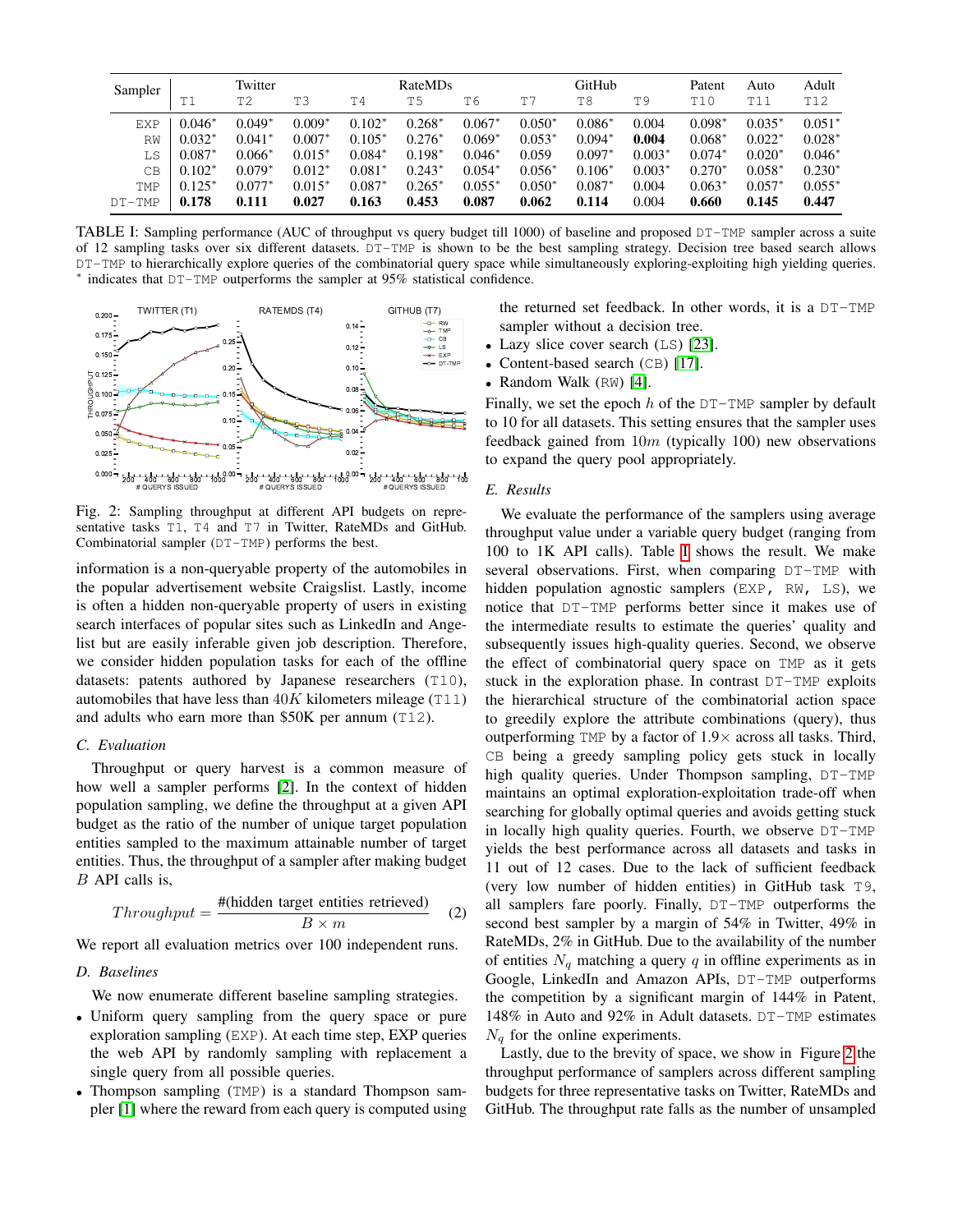<span id="page-5-0"></span>

| Sampler    | Twitter     |                |          | RateMDs     |          |          | GitHub   |          |          | Patent   | Auto     | Adult    |
|------------|-------------|----------------|----------|-------------|----------|----------|----------|----------|----------|----------|----------|----------|
|            | T1          | T <sub>2</sub> | TЗ       | T4          | T5       | T6       | T7       | T8       | T9       | T10      | T11      | T12      |
| <b>EXP</b> | $0.046^*$   | $0.049*$       | $0.009*$ | $0.102*$    | $0.268*$ | $0.067*$ | $0.050*$ | $0.086*$ | 0.004    | $0.098*$ | $0.035*$ | $0.051*$ |
| RW         | $0.032*$    | $0.041*$       | $0.007*$ | $0.105*$    | $0.276*$ | $0.069*$ | $0.053*$ | $0.094*$ | 0.004    | $0.068*$ | $0.022*$ | $0.028*$ |
| LS         | $0.087^{*}$ | $0.066*$       | $0.015*$ | $0.084^{*}$ | $0.198*$ | $0.046*$ | 0.059    | $0.097*$ | $0.003*$ | $0.074*$ | $0.020*$ | $0.046*$ |
| CВ         | $0.102*$    | $0.079*$       | $0.012*$ | $0.081^{*}$ | $0.243*$ | $0.054*$ | $0.056*$ | $0.106*$ | $0.003*$ | $0.270*$ | $0.058*$ | $0.230*$ |
| <b>TMP</b> | $0.125*$    | $0.077*$       | $0.015*$ | $0.087*$    | $0.265*$ | $0.055*$ | $0.050*$ | $0.087*$ | 0.004    | $0.063*$ | $0.057*$ | $0.055*$ |
| $DT-TMP$   | 0.178       | 0.111          | 0.027    | 0.163       | 0.453    | 0.087    | 0.062    | 0.114    | 0.004    | 0.660    | 0.145    | 0.447    |

TABLE I: Sampling performance (AUC of throughput vs query budget till 1000) of baseline and proposed DT-TMP sampler across a suite of 12 sampling tasks over six different datasets. DT-TMP is shown to be the best sampling strategy. Decision tree based search allows DT-TMP to hierarchically explore queries of the combinatorial query space while simultaneously exploring-exploiting high yielding queries. ∗ indicates that DT-TMP outperforms the sampler at 95% statistical confidence.

<span id="page-5-1"></span>

Fig. 2: Sampling throughput at different API budgets on representative tasks T1, T4 and T7 in Twitter, RateMDs and GitHub. Combinatorial sampler (DT-TMP) performs the best.

information is a non-queryable property of the automobiles in the popular advertisement website Craigslist. Lastly, income is often a hidden non-queryable property of users in existing search interfaces of popular sites such as LinkedIn and Angelist but are easily inferable given job description. Therefore, we consider hidden population tasks for each of the offline datasets: patents authored by Japanese researchers (T10), automobiles that have less than  $40K$  kilometers mileage (T11) and adults who earn more than \$50K per annum (T12).

# *C. Evaluation*

Throughput or query harvest is a common measure of how well a sampler performs [\[2\]](#page-7-4). In the context of hidden population sampling, we define the throughput at a given API budget as the ratio of the number of unique target population entities sampled to the maximum attainable number of target entities. Thus, the throughput of a sampler after making budget B API calls is,

$$
Throughput = \frac{\# \text{(hidden target entities retrieved)}}{B \times m} \tag{2}
$$

We report all evaluation metrics over 100 independent runs.

# *D. Baselines*

We now enumerate different baseline sampling strategies.

- Uniform query sampling from the query space or pure exploration sampling (EXP). At each time step, EXP queries the web API by randomly sampling with replacement a single query from all possible queries.
- Thompson sampling (TMP) is a standard Thompson sampler [\[1\]](#page-7-20) where the reward from each query is computed using

the returned set feedback. In other words, it is a DT-TMP sampler without a decision tree.

- Lazy slice cover search (LS) [\[23\]](#page-7-7).
- Content-based search (CB) [\[17\]](#page-7-11).
- Random Walk (RW) [\[4\]](#page-7-24).

Finally, we set the epoch  $h$  of the  $DT-TMP$  sampler by default to 10 for all datasets. This setting ensures that the sampler uses feedback gained from  $10m$  (typically 100) new observations to expand the query pool appropriately.

*E. Results*

We evaluate the performance of the samplers using average throughput value under a variable query budget (ranging from 100 to 1K API calls). Table [I](#page-5-0) shows the result. We make several observations. First, when comparing DT-TMP with hidden population agnostic samplers (EXP, RW, LS), we notice that DT-TMP performs better since it makes use of the intermediate results to estimate the queries' quality and subsequently issues high-quality queries. Second, we observe the effect of combinatorial query space on TMP as it gets stuck in the exploration phase. In contrast DT-TMP exploits the hierarchical structure of the combinatorial action space to greedily explore the attribute combinations (query), thus outperforming TMP by a factor of  $1.9\times$  across all tasks. Third, CB being a greedy sampling policy gets stuck in locally high quality queries. Under Thompson sampling,  $DT-TMP$ maintains an optimal exploration-exploitation trade-off when searching for globally optimal queries and avoids getting stuck in locally high quality queries. Fourth, we observe DT-TMP yields the best performance across all datasets and tasks in 11 out of 12 cases. Due to the lack of sufficient feedback (very low number of hidden entities) in GitHub task T9, all samplers fare poorly. Finally, DT-TMP outperforms the second best sampler by a margin of 54% in Twitter, 49% in RateMDs, 2% in GitHub. Due to the availability of the number of entities  $N_q$  matching a query q in offline experiments as in Google, LinkedIn and Amazon APIs, DT-TMP outperforms the competition by a significant margin of 144% in Patent, 148% in Auto and 92% in Adult datasets. DT-TMP estimates  $N_q$  for the online experiments.

Lastly, due to the brevity of space, we show in Figure [2](#page-5-1) the throughput performance of samplers across different sampling budgets for three representative tasks on Twitter, RateMDs and GitHub. The throughput rate falls as the number of unsampled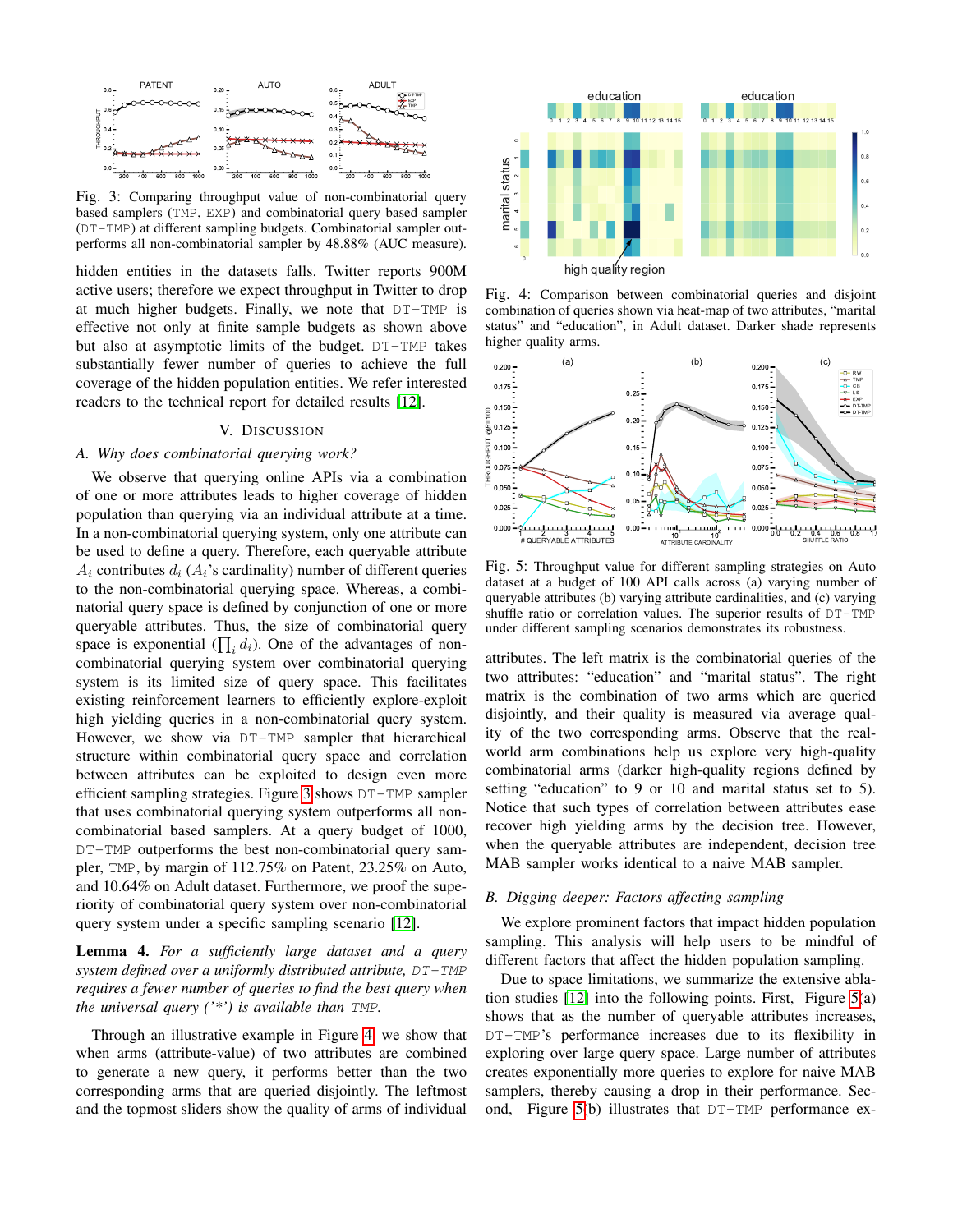<span id="page-6-1"></span>

Fig. 3: Comparing throughput value of non-combinatorial query based samplers (TMP, EXP) and combinatorial query based sampler (DT-TMP) at different sampling budgets. Combinatorial sampler outperforms all non-combinatorial sampler by 48.88% (AUC measure).

hidden entities in the datasets falls. Twitter reports 900M active users; therefore we expect throughput in Twitter to drop at much higher budgets. Finally, we note that DT-TMP is effective not only at finite sample budgets as shown above but also at asymptotic limits of the budget. DT-TMP takes substantially fewer number of queries to achieve the full coverage of the hidden population entities. We refer interested readers to the technical report for detailed results [\[12\]](#page-7-19).

### V. DISCUSSION

## <span id="page-6-0"></span>*A. Why does combinatorial querying work?*

We observe that querying online APIs via a combination of one or more attributes leads to higher coverage of hidden population than querying via an individual attribute at a time. In a non-combinatorial querying system, only one attribute can be used to define a query. Therefore, each queryable attribute  $A_i$  contributes  $d_i$  ( $A_i$ 's cardinality) number of different queries to the non-combinatorial querying space. Whereas, a combinatorial query space is defined by conjunction of one or more queryable attributes. Thus, the size of combinatorial query space is exponential  $(\prod_i d_i)$ . One of the advantages of noncombinatorial querying system over combinatorial querying system is its limited size of query space. This facilitates existing reinforcement learners to efficiently explore-exploit high yielding queries in a non-combinatorial query system. However, we show via DT-TMP sampler that hierarchical structure within combinatorial query space and correlation between attributes can be exploited to design even more efficient sampling strategies. Figure [3](#page-6-1) shows DT-TMP sampler that uses combinatorial querying system outperforms all noncombinatorial based samplers. At a query budget of 1000, DT-TMP outperforms the best non-combinatorial query sampler, TMP, by margin of 112.75% on Patent, 23.25% on Auto, and 10.64% on Adult dataset. Furthermore, we proof the superiority of combinatorial query system over non-combinatorial query system under a specific sampling scenario [\[12\]](#page-7-19).

# Lemma 4. *For a sufficiently large dataset and a query system defined over a uniformly distributed attribute,* DT-TMP *requires a fewer number of queries to find the best query when the universal query ('\*') is available than* TMP*.*

Through an illustrative example in Figure [4,](#page-6-2) we show that when arms (attribute-value) of two attributes are combined to generate a new query, it performs better than the two corresponding arms that are queried disjointly. The leftmost and the topmost sliders show the quality of arms of individual

<span id="page-6-2"></span>

Fig. 4: Comparison between combinatorial queries and disjoint combination of queries shown via heat-map of two attributes, "marital status" and "education", in Adult dataset. Darker shade represents higher quality arms.

<span id="page-6-3"></span>

Fig. 5: Throughput value for different sampling strategies on Auto dataset at a budget of 100 API calls across (a) varying number of queryable attributes (b) varying attribute cardinalities, and (c) varying shuffle ratio or correlation values. The superior results of DT-TMP under different sampling scenarios demonstrates its robustness.

attributes. The left matrix is the combinatorial queries of the two attributes: "education" and "marital status". The right matrix is the combination of two arms which are queried disjointly, and their quality is measured via average quality of the two corresponding arms. Observe that the realworld arm combinations help us explore very high-quality combinatorial arms (darker high-quality regions defined by setting "education" to 9 or 10 and marital status set to 5). Notice that such types of correlation between attributes ease recover high yielding arms by the decision tree. However, when the queryable attributes are independent, decision tree MAB sampler works identical to a naive MAB sampler.

## *B. Digging deeper: Factors affecting sampling*

We explore prominent factors that impact hidden population sampling. This analysis will help users to be mindful of different factors that affect the hidden population sampling.

Due to space limitations, we summarize the extensive ablation studies  $[12]$  into the following points. First, Figure  $5(a)$ shows that as the number of queryable attributes increases, DT-TMP's performance increases due to its flexibility in exploring over large query space. Large number of attributes creates exponentially more queries to explore for naive MAB samplers, thereby causing a drop in their performance. Second, Figure [5\(](#page-6-3)b) illustrates that DT-TMP performance ex